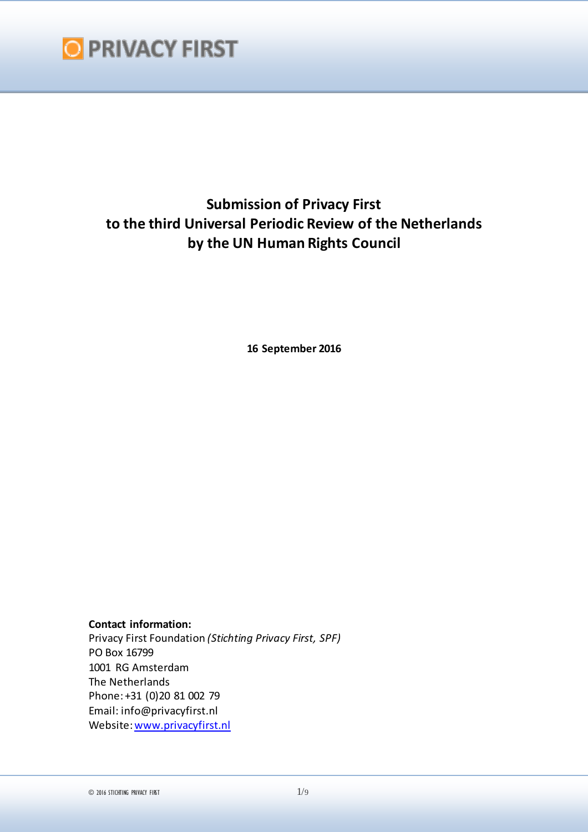

# **Submission of Privacy First to the third Universal Periodic Review of the Netherlands by the UN Human Rights Council**

**16 September 2016**

**Contact information:** Privacy First Foundation *(Stichting Privacy First, SPF)* PO Box 16799 1001 RG Amsterdam The Netherlands Phone: +31 (0)20 81 002 79 Email: info@privacyfirst.nl Website: www.privacyfirst.nl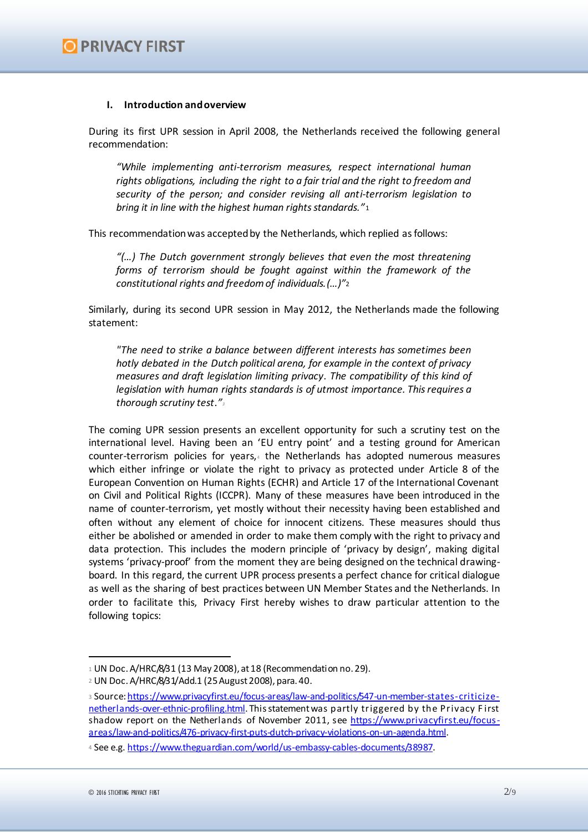#### **I. Introduction and overview**

During its first UPR session in April 2008, the Netherlands received the following general recommendation:

*"While implementing anti-terrorism measures, respect international human rights obligations, including the right to a fair trial and the right to freedom and security of the person; and consider revising all anti-terrorism legislation to bring it in line with the highest human rights standards."*<sup>1</sup>

This recommendation was accepted by the Netherlands, which replied as follows:

*"(…) The Dutch government strongly believes that even the most threatening forms of terrorism should be fought against within the framework of the constitutional rights and freedom of individuals.(…)"*<sup>2</sup>

Similarly, during its second UPR session in May 2012, the Netherlands made the following statement:

*"The need to strike a balance between different interests has sometimes been hotly debated in the Dutch political arena, for example in the context of privacy measures and draft legislation limiting privacy*. *The compatibility of this kind of legislation with human rights standards is of utmost importance. This requires a thorough scrutiny test*.*"<sup>3</sup>*

The coming UPR session presents an excellent opportunity for such a scrutiny test on the international level. Having been an 'EU entry point' and a testing ground for American counter-terrorism policies for years, $4$  the Netherlands has adopted numerous measures which either infringe or violate the right to privacy as protected under Article 8 of the European Convention on Human Rights (ECHR) and Article 17 of the International Covenant on Civil and Political Rights (ICCPR). Many of these measures have been introduced in the name of counter-terrorism, yet mostly without their necessity having been established and often without any element of choice for innocent citizens. These measures should thus either be abolished or amended in order to make them comply with the right to privacy and data protection. This includes the modern principle of 'privacy by design', making digital systems 'privacy-proof' from the moment they are being designed on the technical drawingboard. In this regard, the current UPR process presents a perfect chance for critical dialogue as well as the sharing of best practices between UN Member States and the Netherlands. In order to facilitate this, Privacy First hereby wishes to draw particular attention to the following topics:

 $1$  UN Doc. A/HRC/8/31 (13 May 2008), at 18 (Recommendation no. 29).

<sup>2</sup> UN Doc. A/HRC/8/31/Add.1 (25 August 2008), para. 40.

<sup>3</sup> Source: https://www.privacyfirst.eu/focus-areas/law-and-politics/547-un-member-states-criticizenetherlands-over-ethnic-profiling.html. This statement was partly triggered by the Privacy First shadow report on the Netherlands of November 2011, see https://www.privacyfirst.eu/focusareas/law-and-politics/476-privacy-first-puts-dutch-privacy-violations-on-un-agenda.html.

<sup>4</sup> See e.g. https://www.theguardian.com/world/us-embassy-cables-documents/38987.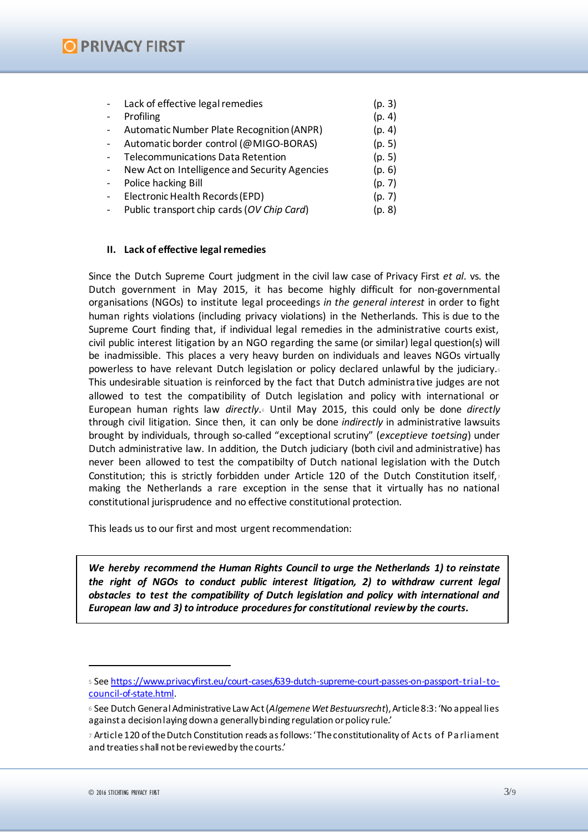## **O PRIVACY FIRST**

| Electronic Health Records (EPD)<br>(p. 7)            |
|------------------------------------------------------|
|                                                      |
| Public transport chip cards (OV Chip Card)<br>(p. 8) |

#### **II. Lack of effective legal remedies**

Since the Dutch Supreme Court judgment in the civil law case of Privacy First *et al*. vs. the Dutch government in May 2015, it has become highly difficult for non-governmental organisations (NGOs) to institute legal proceedings *in the general interest* in order to fight human rights violations (including privacy violations) in the Netherlands. This is due to the Supreme Court finding that, if individual legal remedies in the administrative courts exist, civil public interest litigation by an NGO regarding the same (or similar) legal question(s) will be inadmissible. This places a very heavy burden on individuals and leaves NGOs virtually powerless to have relevant Dutch legislation or policy declared unlawful by the judiciary.<sup>5</sup> This undesirable situation is reinforced by the fact that Dutch administrative judges are not allowed to test the compatibility of Dutch legislation and policy with international or European human rights law *directly*.<sup>6</sup> Until May 2015, this could only be done *directly* through civil litigation. Since then, it can only be done *indirectly* in administrative lawsuits brought by individuals, through so-called "exceptional scrutiny" (*exceptieve toetsing*) under Dutch administrative law. In addition, the Dutch judiciary (both civil and administrative) has never been allowed to test the compatibilty of Dutch national legislation with the Dutch Constitution; this is strictly forbidden under Article 120 of the Dutch Constitution itself, making the Netherlands a rare exception in the sense that it virtually has no national constitutional jurisprudence and no effective constitutional protection.

This leads us to our first and most urgent recommendation:

*We hereby recommend the Human Rights Council to urge the Netherlands 1) to reinstate the right of NGOs to conduct public interest litigation, 2) to withdraw current legal obstacles to test the compatibility of Dutch legislation and policy with international and European law and 3) to introduce procedures for constitutional review by the courts.* 

<sup>5</sup> See https://www.privacyfirst.eu/court-cases/639-dutch-supreme-court-passes-on-passport-trial-tocouncil-of-state.html.

<sup>6</sup> See Dutch General Administrative Law Act (*Algemene Wet Bestuursrecht*), Article 8:3: 'No appeal lies against a decision laying down a generally binding regulation or policy rule.'

<sup>7</sup> Article 120 of the Dutch Constitution reads as follows: 'The constitutionality of Ac ts of Pa rliament and treaties shall not be reviewed by the courts.'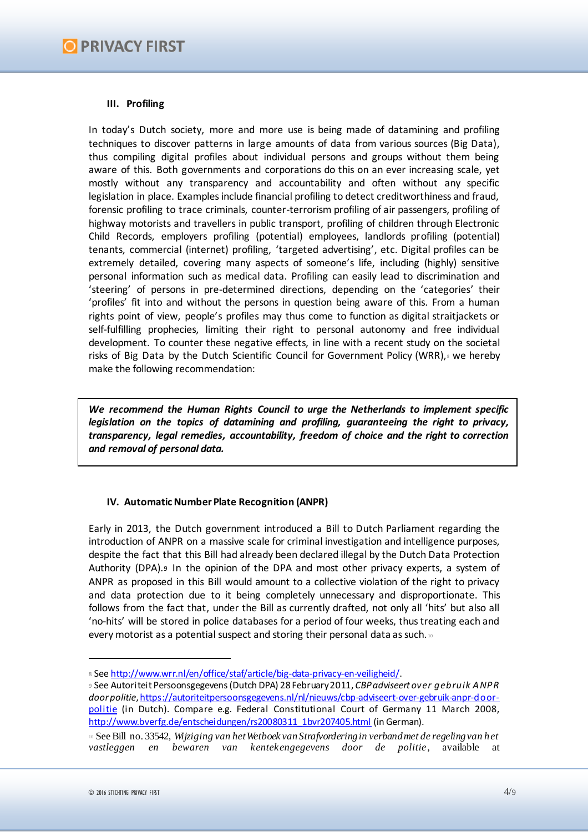## **III. Profiling**

In today's Dutch society, more and more use is being made of datamining and profiling techniques to discover patterns in large amounts of data from various sources (Big Data), thus compiling digital profiles about individual persons and groups without them being aware of this. Both governments and corporations do this on an ever increasing scale, yet mostly without any transparency and accountability and often without any specific legislation in place. Examples include financial profiling to detect creditworthiness and fraud, forensic profiling to trace criminals, counter-terrorism profiling of air passengers, profiling of highway motorists and travellers in public transport, profiling of children through Electronic Child Records, employers profiling (potential) employees, landlords profiling (potential) tenants, commercial (internet) profiling, 'targeted advertising', etc. Digital profiles can be extremely detailed, covering many aspects of someone's life, including (highly) sensitive personal information such as medical data. Profiling can easily lead to discrimination and 'steering' of persons in pre-determined directions, depending on the 'categories' their 'profiles' fit into and without the persons in question being aware of this. From a human rights point of view, people's profiles may thus come to function as digital straitjackets or self-fulfilling prophecies, limiting their right to personal autonomy and free individual development. To counter these negative effects, in line with a recent study on the societal risks of Big Data by the Dutch Scientific Council for Government Policy (WRR), & we hereby make the following recommendation:

*We recommend the Human Rights Council to urge the Netherlands to implement specific legislation on the topics of datamining and profiling, guaranteeing the right to privacy, transparency, legal remedies, accountability, freedom of choice and the right to correction and removal of personal data.* 

### **IV. Automatic Number Plate Recognition (ANPR)**

Early in 2013, the Dutch government introduced a Bill to Dutch Parliament regarding the introduction of ANPR on a massive scale for criminal investigation and intelligence purposes, despite the fact that this Bill had already been declared illegal by the Dutch Data Protection Authority (DPA).<sup>9</sup> In the opinion of the DPA and most other privacy experts, a system of ANPR as proposed in this Bill would amount to a collective violation of the right to privacy and data protection due to it being completely unnecessary and disproportionate. This follows from the fact that, under the Bill as currently drafted, not only all 'hits' but also all 'no-hits' will be stored in police databases for a period of four weeks, thus treating each and every motorist as a potential suspect and storing their personal data as such. 10

<sup>8</sup> See http://www.wrr.nl/en/office/staf/article/big-data-privacy-en-veiligheid/.

<sup>9</sup> See Autoriteit Persoonsgegevens (Dutch DPA) 28February 2011, *CBP adviseert over gebruik ANPR door politie*, https://autoriteitpersoonsgegevens.nl/nl/nieuws/cbp-adviseert-over-gebruik-anpr-doorpolitie (in Dutch). Compare e.g. Federal Constitutional Court of Germany 11 March 2008, http://www.bverfg.de/entscheidungen/rs20080311\_1bvr207405.html (in German).

<sup>10</sup> See Bill no. 33542, *Wijziging van het Wetboek van Strafvordering in verband met de regeling van het vastleggen en bewaren van kentekengegevens door de politie*, available at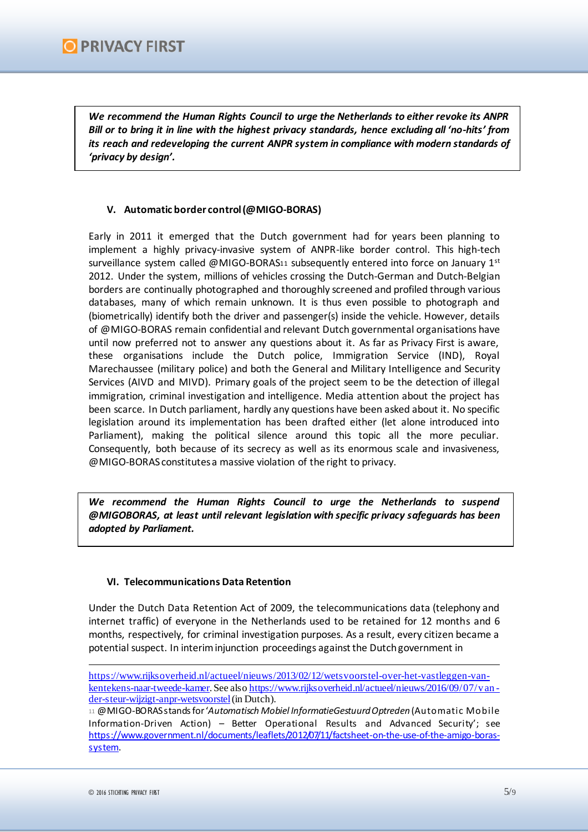*We recommend the Human Rights Council to urge the Netherlands to either revoke its ANPR Bill or to bring it in line with the highest privacy standards, hence excluding all 'no-hits' from its reach and redeveloping the current ANPR system in compliance with modern standards of 'privacy by design'.* 

## **V. Automatic border control (@MIGO-BORAS)**

Early in 2011 it emerged that the Dutch government had for years been planning to implement a highly privacy-invasive system of ANPR-like border control. This high-tech surveillance system called @MIGO-BORAS11 subsequently entered into force on January  $1<sup>st</sup>$ 2012. Under the system, millions of vehicles crossing the Dutch-German and Dutch-Belgian borders are continually photographed and thoroughly screened and profiled through various databases, many of which remain unknown. It is thus even possible to photograph and (biometrically) identify both the driver and passenger(s) inside the vehicle. However, details of @MIGO-BORAS remain confidential and relevant Dutch governmental organisations have until now preferred not to answer any questions about it. As far as Privacy First is aware, these organisations include the Dutch police, Immigration Service (IND), Royal Marechaussee (military police) and both the General and Military Intelligence and Security Services (AIVD and MIVD). Primary goals of the project seem to be the detection of illegal immigration, criminal investigation and intelligence. Media attention about the project has been scarce. In Dutch parliament, hardly any questions have been asked about it. No specific legislation around its implementation has been drafted either (let alone introduced into Parliament), making the political silence around this topic all the more peculiar. Consequently, both because of its secrecy as well as its enormous scale and invasiveness, @MIGO-BORAS constitutes a massive violation of the right to privacy.

*We recommend the Human Rights Council to urge the Netherlands to suspend @MIGOBORAS, at least until relevant legislation with specific privacy safeguards has been adopted by Parliament.* 

## **VI. Telecommunications Data Retention**

Under the Dutch Data Retention Act of 2009, the telecommunications data (telephony and internet traffic) of everyone in the Netherlands used to be retained for 12 months and 6 months, respectively, for criminal investigation purposes. As a result, every citizen became a potential suspect. In interim injunction proceedings against the Dutch government in

https://www.rijksoverheid.nl/actueel/nieuws/2013/02/12/wetsvoorstel-over-het-vastleggen-vankentekens-naar-tweede-kamer. See also https://www.rijksoverheid.nl/actueel/nieuws/2016/09/07/vander-steur-wijzigt-anpr-wetsvoorstel (in Dutch).

<sup>11</sup> @MIGO-BORAS stands for '*Automatisch Mobiel InformatieGestuurd Optreden* (Automatic Mobile Information-Driven Action) – Better Operational Results and Advanced Security'; see https://www.government.nl/documents/leaflets/2012/07/11/factsheet-on-the-use-of-the-amigo-borassystem.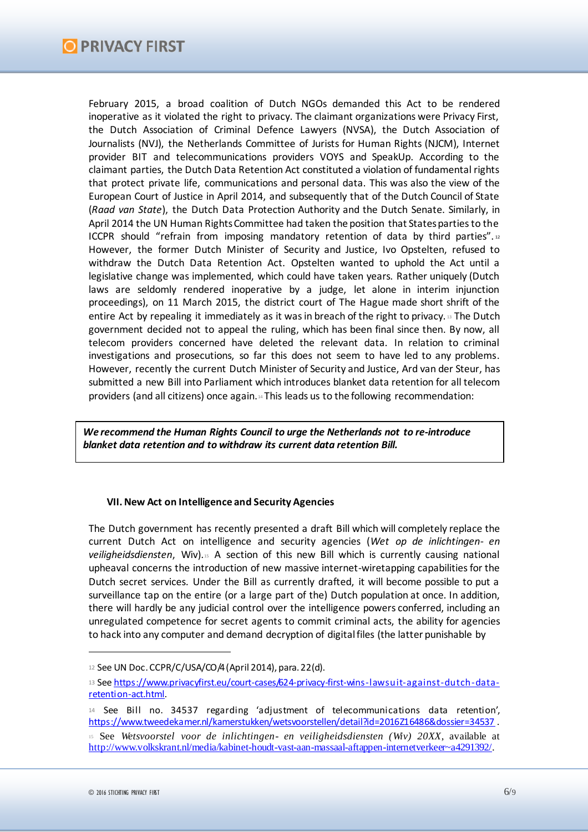February 2015, a broad coalition of Dutch NGOs demanded this Act to be rendered inoperative as it violated the right to privacy. The claimant organizations were Privacy First, the Dutch Association of Criminal Defence Lawyers (NVSA), the Dutch Association of Journalists (NVJ), the Netherlands Committee of Jurists for Human Rights (NJCM), Internet provider BIT and telecommunications providers VOYS and SpeakUp. According to the claimant parties, the Dutch Data Retention Act constituted a violation of fundamental rights that protect private life, communications and personal data. This was also the view of the European Court of Justice in April 2014, and subsequently that of the Dutch Council of State (*Raad van State*), the Dutch Data Protection Authority and the Dutch Senate. Similarly, in April 2014 the UN Human Rights Committee had taken the position that States parties to the ICCPR should "refrain from imposing mandatory retention of data by third parties".<sup>12</sup> However, the former Dutch Minister of Security and Justice, Ivo Opstelten, refused to withdraw the Dutch Data Retention Act. Opstelten wanted to uphold the Act until a legislative change was implemented, which could have taken years. Rather uniquely (Dutch laws are seldomly rendered inoperative by a judge, let alone in interim injunction proceedings), on 11 March 2015, the district court of The Hague made short shrift of the entire Act by repealing it immediately as it was in breach of the right to privacy. <sup>13</sup> The Dutch government decided not to appeal the ruling, which has been final since then. By now, all telecom providers concerned have deleted the relevant data. In relation to criminal investigations and prosecutions, so far this does not seem to have led to any problems. However, recently the current Dutch Minister of Security and Justice, Ard van der Steur, has submitted a new Bill into Parliament which introduces blanket data retention for all telecom providers (and all citizens) once again.<sup>14</sup> This leads us to the following recommendation:

*We recommend the Human Rights Council to urge the Netherlands not to re-introduce blanket data retention and to withdraw its current data retention Bill.* 

### **VII. New Act on Intelligence and Security Agencies**

The Dutch government has recently presented a draft Bill which will completely replace the current Dutch Act on intelligence and security agencies (*Wet op de inlichtingen- en veiligheidsdiensten*, Wiv).<sup>15</sup> A section of this new Bill which is currently causing national upheaval concerns the introduction of new massive internet-wiretapping capabilities for the Dutch secret services. Under the Bill as currently drafted, it will become possible to put a surveillance tap on the entire (or a large part of the) Dutch population at once. In addition, there will hardly be any judicial control over the intelligence powers conferred, including an unregulated competence for secret agents to commit criminal acts, the ability for agencies to hack into any computer and demand decryption of digital files (the latter punishable by

<sup>12</sup> See UN Doc. CCPR/C/USA/CO/4 (April 2014), para. 22(d).

<sup>13</sup> See https://www.privacyfirst.eu/court-cases/624-privacy-first-wins-lawsuit-against-dutch-dataretention-act.html.

<sup>14</sup> See Bill no. 34537 regarding 'adjustment of telecommunications data retention', https://www.tweedekamer.nl/kamerstukken/wetsvoorstellen/detail?id=2016Z16486&dossier=34537 .

<sup>15</sup> See *Wetsvoorstel voor de inlichtingen- en veiligheidsdiensten (Wiv) 20XX*, available at http://www.volkskrant.nl/media/kabinet-houdt-vast-aan-massaal-aftappen-internetverkeer~a4291392/.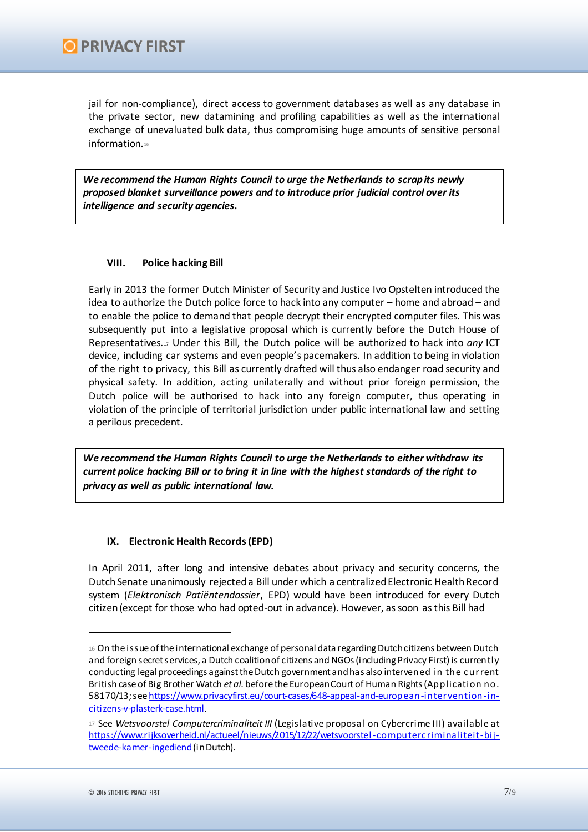jail for non-compliance), direct access to government databases as well as any database in the private sector, new datamining and profiling capabilities as well as the international exchange of unevaluated bulk data, thus compromising huge amounts of sensitive personal information.16

*We recommend the Human Rights Council to urge the Netherlands to scrap its newly proposed blanket surveillance powers and to introduce prior judicial control over its intelligence and security agencies.*

## **VIII. Police hacking Bill**

Early in 2013 the former Dutch Minister of Security and Justice Ivo Opstelten introduced the idea to authorize the Dutch police force to hack into any computer – home and abroad – and to enable the police to demand that people decrypt their encrypted computer files. This was subsequently put into a legislative proposal which is currently before the Dutch House of Representatives.<sup>17</sup> Under this Bill, the Dutch police will be authorized to hack into *any* ICT device, including car systems and even people's pacemakers. In addition to being in violation of the right to privacy, this Bill as currently drafted will thus also endanger road security and physical safety. In addition, acting unilaterally and without prior foreign permission, the Dutch police will be authorised to hack into any foreign computer, thus operating in violation of the principle of territorial jurisdiction under public international law and setting a perilous precedent.

*We recommend the Human Rights Council to urge the Netherlands to either withdraw its current police hacking Bill or to bring it in line with the highest standards of the right to privacy as well as public international law.* 

### **IX. Electronic Health Records (EPD)**

In April 2011, after long and intensive debates about privacy and security concerns, the Dutch Senate unanimously rejected a Bill under which a centralized Electronic Health Record system (*Elektronisch Patiëntendossier*, EPD) would have been introduced for every Dutch citizen (except for those who had opted-out in advance). However, as soon as this Bill had

<sup>16</sup> On the issue of the international exchange of personal data regarding Dutch citizens between Dutch and foreign secret services, a Dutch coalition of citizens and NGOs (including Privacy First) is currently conducting legal proceedings against the Dutch government and has also intervened in the c urrent British case of Big Brother Watch *et al.* before the European Court of Human Rights (Application no. 58170/13; see https://www.privacyfirst.eu/court-cases/648-appeal-and-european-intervention-incitizens-v-plasterk-case.html.

<sup>17</sup> See *Wetsvoorstel Computercriminaliteit III* (Legislative proposal on Cybercrime III) available at https://www.rijksoverheid.nl/actueel/nieuws/2015/12/22/wetsvoorstel-computerc riminaliteit-bijtweede-kamer-ingediend(in Dutch).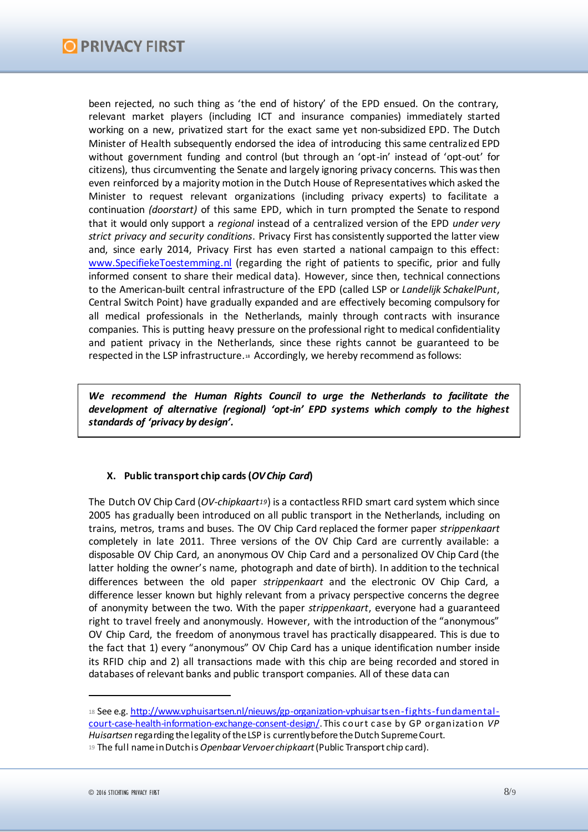been rejected, no such thing as 'the end of history' of the EPD ensued. On the contrary, relevant market players (including ICT and insurance companies) immediately started working on a new, privatized start for the exact same yet non-subsidized EPD. The Dutch Minister of Health subsequently endorsed the idea of introducing this same centralized EPD without government funding and control (but through an 'opt-in' instead of 'opt-out' for citizens), thus circumventing the Senate and largely ignoring privacy concerns. This was then even reinforced by a majority motion in the Dutch House of Representatives which asked the Minister to request relevant organizations (including privacy experts) to facilitate a continuation *(doorstart)* of this same EPD, which in turn prompted the Senate to respond that it would only support a *regional* instead of a centralized version of the EPD *under very strict privacy and security conditions*. Privacy First has consistently supported the latter view and, since early 2014, Privacy First has even started a national campaign to this effect: www.SpecifiekeToestemming.nl (regarding the right of patients to specific, prior and fully informed consent to share their medical data). However, since then, technical connections to the American-built central infrastructure of the EPD (called LSP or *Landelijk SchakelPunt*, Central Switch Point) have gradually expanded and are effectively becoming compulsory for all medical professionals in the Netherlands, mainly through contracts with insurance companies. This is putting heavy pressure on the professional right to medical confidentiality and patient privacy in the Netherlands, since these rights cannot be guaranteed to be respected in the LSP infrastructure.<sup>18</sup> Accordingly, we hereby recommend as follows:

*We recommend the Human Rights Council to urge the Netherlands to facilitate the development of alternative (regional) 'opt-in' EPD systems which comply to the highest standards of 'privacy by design'.* 

## **X. Public transport chip cards (***OV Chip Card***)**

The Dutch OV Chip Card (*OV-chipkaart19*) is a contactless RFID smart card system which since 2005 has gradually been introduced on all public transport in the Netherlands, including on trains, metros, trams and buses. The OV Chip Card replaced the former paper *strippenkaart* completely in late 2011. Three versions of the OV Chip Card are currently available: a disposable OV Chip Card, an anonymous OV Chip Card and a personalized OV Chip Card (the latter holding the owner's name, photograph and date of birth). In addition to the technical differences between the old paper *strippenkaart* and the electronic OV Chip Card, a difference lesser known but highly relevant from a privacy perspective concerns the degree of anonymity between the two. With the paper *strippenkaart*, everyone had a guaranteed right to travel freely and anonymously. However, with the introduction of the "anonymous" OV Chip Card, the freedom of anonymous travel has practically disappeared. This is due to the fact that 1) every "anonymous" OV Chip Card has a unique identification number inside its RFID chip and 2) all transactions made with this chip are being recorded and stored in databases of relevant banks and public transport companies. All of these data can

<sup>18</sup> See e.g. http://www.vphuisartsen.nl/nieuws/gp-organization-vphuisartsen-fights-fundamentalcourt-case-health-information-exchange-consent-design/. This c ourt c ase by GP organization *VP Huisartsen* regarding the legality of the LSP is currently before the Dutch Supreme Court.

<sup>19</sup> The full name in Dutch is *OpenbaarVervoer chipkaart*(Public Transport chip card).